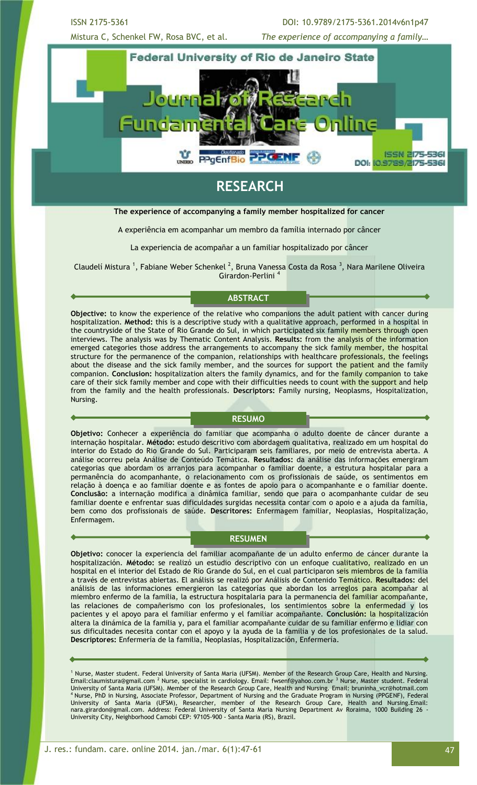ISSN 2175-5361 DOI: 10.9789/2175-5361.2014v6n1p47 Mistura C, Schenkel FW, Rosa BVC, et al. *The experience of accompanying a family…*



# **RESEARCH**

#### **The experience of accompanying a family member hospitalized for cancer**

A experiência em acompanhar um membro da família internado por câncer

La experiencia de acompañar a un familiar hospitalizado por câncer

Claudelí Mistura <sup>1</sup>, Fabiane Weber Schenkel <sup>2</sup>, Bruna Vanessa Costa da Rosa <sup>3</sup>, Nara Marilene Oliveira Girardon-Perlini <sup>4</sup>

## **ABSTRACT**

**Objective:** to know the experience of the relative who companions the adult patient with cancer during hospitalization. **Method:** this is a descriptive study with a qualitative approach, performed in a hospital in the countryside of the State of Rio Grande do Sul, in which participated six family members through open interviews. The analysis was by Thematic Content Analysis. **Results:** from the analysis of the information emerged categories those address the arrangements to accompany the sick family member, the hospital structure for the permanence of the companion, relationships with healthcare professionals, the feelings about the disease and the sick family member, and the sources for support the patient and the family companion. **Conclusion:** hospitalization alters the family dynamics, and for the family companion to take care of their sick family member and cope with their difficulties needs to count with the support and help from the family and the health professionals. **Descriptors:** Family nursing, Neoplasms, Hospitalization, Nursing.

### **RESUMO**

**Objetivo:** Conhecer a experiência do familiar que acompanha o adulto doente de câncer durante a internação hospitalar. **Método:** estudo descritivo com abordagem qualitativa, realizado em um hospital do interior do Estado do Rio Grande do Sul. Participaram seis familiares, por meio de entrevista aberta. A análise ocorreu pela Análise de Conteúdo Temática. **Resultados:** da análise das informações emergiram categorias que abordam os arranjos para acompanhar o familiar doente, a estrutura hospitalar para a permanência do acompanhante, o relacionamento com os profissionais de saúde, os sentimentos em relação à doença e ao familiar doente e as fontes de apoio para o acompanhante e o familiar doente. **Conclusão:** a internação modifica a dinâmica familiar, sendo que para o acompanhante cuidar de seu familiar doente e enfrentar suas dificuldades surgidas necessita contar com o apoio e a ajuda da família, bem como dos profissionais de saúde. **Descritores:** Enfermagem familiar, Neoplasias, Hospitalização, Enfermagem.

#### **RESUMEN**

**Objetivo:** conocer la experiencia del familiar acompañante de un adulto enfermo de cáncer durante la hospitalización. **Método:** se realizó un estudio descriptivo con un enfoque cualitativo, realizado en un hospital en el interior del Estado de Rio Grande do Sul, en el cual participaron seis miembros de la familia a través de entrevistas abiertas. El análisis se realizó por Análisis de Contenido Temático. **Resultados:** del análisis de las informaciones emergieron las categorías que abordan los arreglos para acompañar al miembro enfermo de la familia, la estructura hospitalaria para la permanencia del familiar acompañante, las relaciones de compañerismo con los profesionales, los sentimientos sobre la enfermedad y los pacientes y el apoyo para el familiar enfermo y el familiar acompañante. **Conclusión:** la hospitalización altera la dinámica de la familia y, para el familiar acompañante cuidar de su familiar enfermo e lidiar con sus dificultades necesita contar con el apoyo y la ayuda de la familia y de los profesionales de la salud. **Descriptores:** Enfermería de la familia, Neoplasias, Hospitalización, Enfermería.

<sup>1</sup> Nurse, Master student. Federal University of Santa Maria (UFSM). Member of the Research Group Care, Health and Nursing. Email:claumistura@gmail.com <sup>2</sup> Nurse, specialist in cardiology. Email: fwsenf@yahoo.com.br <sup>3</sup> Nurse, Master student. Federal University of Santa Maria (UFSM). Member of the Research Group Care, Health and Nursing. Email: bruninha\_vcr@hotmail.com <sup>4</sup> Nurse, PhD in Nursing, Associate Professor, Department of Nursing and the Graduate Program in Nursing (PPGENF), Federal University of Santa Maria (UFSM), Researcher, member of the Research Group Care, Health and Nursing.Email: nara.girardon@gmail.com. Address: Federal University of Santa Maria Nursing Department Av Roraima, 1000 Building 26 - University City, Neighborhood Camobi CEP: 97105-900 - Santa Maria (RS), Brazil.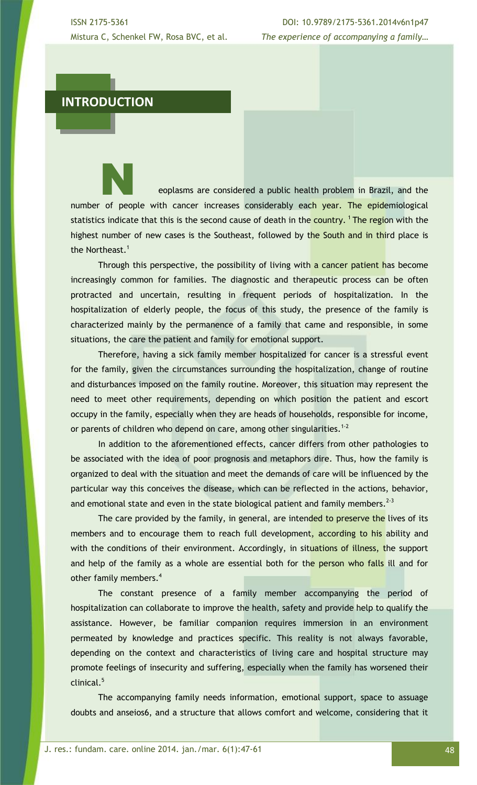ISSN 2175-5361 DOI: 10.9789/2175-5361.2014v6n1p47 Mistura C, Schenkel FW, Rosa BVC, et al. *The experience of accompanying a family…*

## **INTRODUCTION**

eoplasms are considered a public health problem in Brazil, and the number of people with cancer increases considerably each year. The epidemiological statistics indicate that this is the second cause of death in the country.<sup>1</sup> The region with the highest number of new cases is the Southeast, followed by the South and in third place is the Northeast.<sup>1</sup>

Through this perspective, the possibility of living with a cancer patient has become increasingly common for families. The diagnostic and therapeutic process can be often protracted and uncertain, resulting in frequent periods of hospitalization. In the hospitalization of elderly people, the focus of this study, the presence of the family is characterized mainly by the permanence of a family that came and responsible, in some situations, the care the patient and family for emotional support.

Therefore, having a sick family member hospitalized for cancer is a stressful event for the family, given the circumstances surrounding the hospitalization, change of routine and disturbances imposed on the family routine. Moreover, this situation may represent the need to meet other requirements, depending on which position the patient and escort occupy in the family, especially when they are heads of households, responsible for income, or parents of children who depend on care, among other singularities.<sup>1-2</sup>

In addition to the aforementioned effects, cancer differs from other pathologies to be associated with the idea of poor prognosis and metaphors dire. Thus, how the family is organized to deal with the situation and meet the demands of care will be influenced by the particular way this conceives the disease, which can be reflected in the actions, behavior, and emotional state and even in the state biological patient and family members.  $2-3$ 

The care provided by the family, in general, are intended to preserve the lives of its members and to encourage them to reach full development, according to his ability and with the conditions of their environment. Accordingly, in situations of illness, the support and help of the family as a whole are essential both for the person who falls ill and for other family members.<sup>4</sup>

The constant presence of a family member accompanying the period of hospitalization can collaborate to improve the health, safety and provide help to qualify the assistance. However, be familiar companion requires immersion in an environment permeated by knowledge and practices specific. This reality is not always favorable, depending on the context and characteristics of living care and hospital structure may promote feelings of insecurity and suffering, especially when the family has worsened their clinical.<sup>5</sup>

The accompanying family needs information, emotional support, space to assuage doubts and anseios6, and a structure that allows comfort and welcome, considering that it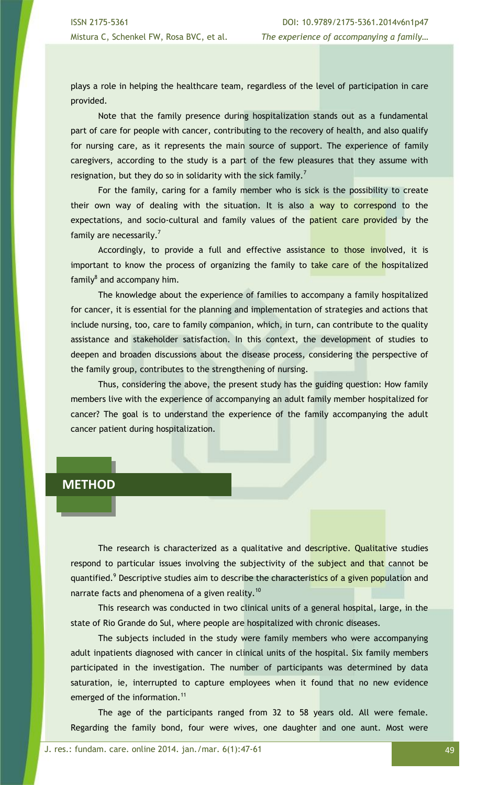plays a role in helping the healthcare team, regardless of the level of participation in care provided.

Note that the family presence during hospitalization stands out as a fundamental part of care for people with cancer, contributing to the recovery of health, and also qualify for nursing care, as it represents the main source of support. The experience of family caregivers, according to the study is a part of the few pleasures that they assume with resignation, but they do so in solidarity with the sick family.<sup>7</sup>

For the family, caring for a family member who is sick is the possibility to create their own way of dealing with the situation. It is also a way to correspond to the expectations, and socio-cultural and family values of the patient care provided by the family are necessarily.<sup>7</sup>

Accordingly, to provide a full and effective assistance to those involved, it is important to know the process of organizing the family to take care of the hospitalized family<sup>8</sup> and accompany him.

The knowledge about the experience of families to accompany a family hospitalized for cancer, it is essential for the planning and implementation of strategies and actions that include nursing, too, care to family companion, which, in turn, can contribute to the quality assistance and stakeholder satisfaction. In this context, the development of studies to deepen and broaden discussions about the disease process, considering the perspective of the family group, contributes to the strengthening of nursing.

Thus, considering the above, the present study has the guiding question: How family members live with the experience of accompanying an adult family member hospitalized for cancer? The goal is to understand the experience of the family accompanying the adult cancer patient during hospitalization.

## **METHOD**

The research is characterized as a qualitative and descriptive. Qualitative studies respond to particular issues involving the subjectivity of the subject and that cannot be quantified.<sup>9</sup> Descriptive studies aim to describe the characteristics of a given population and narrate facts and phenomena of a given reality.<sup>10</sup>

This research was conducted in two clinical units of a general hospital, large, in the state of Rio Grande do Sul, where people are hospitalized with chronic diseases.

The subjects included in the study were family members who were accompanying adult inpatients diagnosed with cancer in clinical units of the hospital. Six family members participated in the investigation. The number of participants was determined by data saturation, ie, interrupted to capture employees when it found that no new evidence emerged of the information.<sup>11</sup>

The age of the participants ranged from 32 to 58 years old. All were female. Regarding the family bond, four were wives, one daughter and one aunt. Most were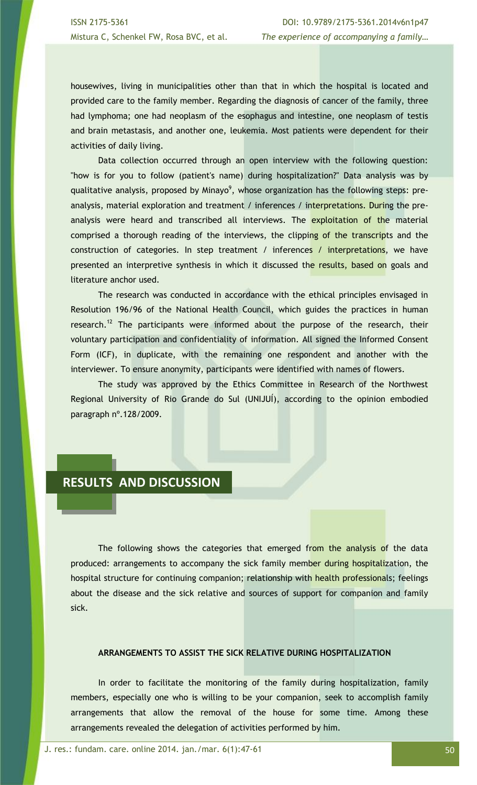housewives, living in municipalities other than that in which the hospital is located and provided care to the family member. Regarding the diagnosis of cancer of the family, three had lymphoma; one had neoplasm of the esophagus and intestine, one neoplasm of testis and brain metastasis, and another one, leukemia. Most patients were dependent for their activities of daily living.

Data collection occurred through an open interview with the following question: "how is for you to follow (patient's name) during hospitalization?" Data analysis was by qualitative analysis, proposed by Minayo<sup>9</sup>, whose organization has the following steps: preanalysis, material exploration and treatment / inferences / interpretations. During the preanalysis were heard and transcribed all interviews. The exploitation of the material comprised a thorough reading of the interviews, the clipping of the transcripts and the construction of categories. In step treatment / inferences / interpretations, we have presented an interpretive synthesis in which it discussed the results, based on goals and literature anchor used.

The research was conducted in accordance with the ethical principles envisaged in Resolution 196/96 of the National Health Council, which guides the practices in human research.<sup>12</sup> The participants were informed about the purpose of the research, their voluntary participation and confidentiality of information. All signed the Informed Consent Form (ICF), in duplicate, with the remaining one respondent and another with the interviewer. To ensure anonymity, participants were identified with names of flowers.

The study was approved by the Ethics Committee in Research of the Northwest Regional University of Rio Grande do Sul (UNIJUÍ), according to the opinion embodied paragraph nº.128/2009.

## **RESULTS AND DISCUSSION**

The following shows the categories that emerged from the analysis of the data produced: arrangements to accompany the sick family member during hospitalization, the hospital structure for continuing companion; relationship with health professionals; feelings about the disease and the sick relative and sources of support for companion and family sick.

## **ARRANGEMENTS TO ASSIST THE SICK RELATIVE DURING HOSPITALIZATION**

In order to facilitate the monitoring of the family during hospitalization, family members, especially one who is willing to be your companion, seek to accomplish family arrangements that allow the removal of the house for some time. Among these arrangements revealed the delegation of activities performed by him.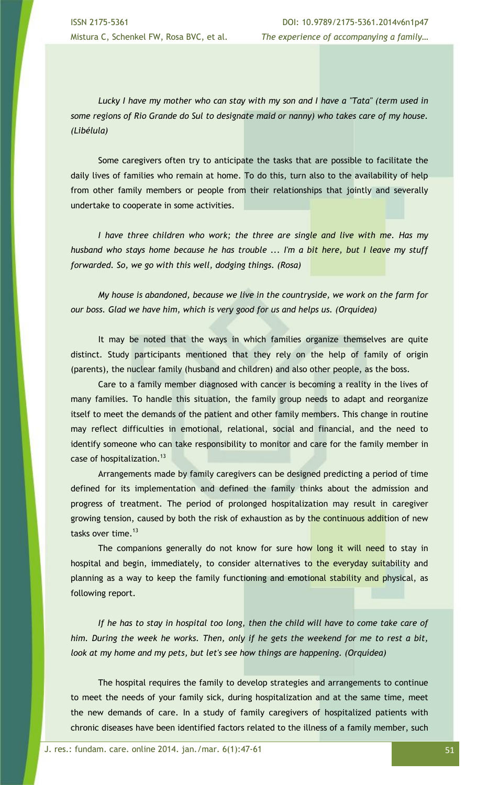*Lucky I have my mother who can stay with my son and I have a "Tata" (term used in some regions of Rio Grande do Sul to designate maid or nanny) who takes care of my house. (Libélula)* 

Some caregivers often try to anticipate the tasks that are possible to facilitate the daily lives of families who remain at home. To do this, turn also to the availability of help from other family members or people from their relationships that jointly and severally undertake to cooperate in some activities.

*I have three children who work; the three are single and live with me. Has my husband who stays home because he has trouble ... I'm a bit here, but I leave my stuff forwarded. So, we go with this well, dodging things. (Rosa)*

*My house is abandoned, because we live in the countryside, we work on the farm for our boss. Glad we have him, which is very good for us and helps us. (Orquídea)*

It may be noted that the ways in which families organize themselves are quite distinct. Study participants mentioned that they rely on the help of family of origin (parents), the nuclear family (husband and children) and also other people, as the boss.

Care to a family member diagnosed with cancer is becoming a reality in the lives of many families. To handle this situation, the family group needs to adapt and reorganize itself to meet the demands of the patient and other family members. This change in routine may reflect difficulties in emotional, relational, social and financial, and the need to identify someone who can take responsibility to monitor and care for the family member in case of hospitalization.<sup>13</sup>

Arrangements made by family caregivers can be designed predicting a period of time defined for its implementation and defined the family thinks about the admission and progress of treatment. The period of prolonged hospitalization may result in caregiver growing tension, caused by both the risk of exhaustion as by the continuous addition of new tasks over time. $13$ 

The companions generally do not know for sure how long it will need to stay in hospital and begin, immediately, to consider alternatives to the everyday suitability and planning as a way to keep the family functioning and emotional stability and physical, as following report.

If he has to stay in hospital too long, then the child will have to come take care of *him. During the week he works. Then, only if he gets the weekend for me to rest a bit, look at my home and my pets, but let's see how things are happening. (Orquídea)*

The hospital requires the family to develop strategies and arrangements to continue to meet the needs of your family sick, during hospitalization and at the same time, meet the new demands of care. In a study of family caregivers of hospitalized patients with chronic diseases have been identified factors related to the illness of a family member, such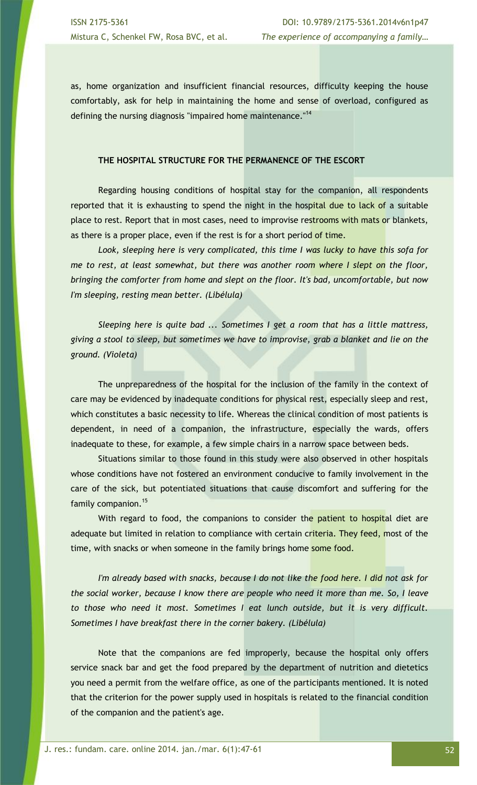as, home organization and insufficient financial resources, difficulty keeping the house comfortably, ask for help in maintaining the home and sense of overload, configured as defining the nursing diagnosis "impaired home maintenance."<sup>14</sup>

### **THE HOSPITAL STRUCTURE FOR THE PERMANENCE OF THE ESCORT**

Regarding housing conditions of hospital stay for the companion, all respondents reported that it is exhausting to spend the night in the hospital due to lack of a suitable place to rest. Report that in most cases, need to improvise restrooms with mats or blankets, as there is a proper place, even if the rest is for a short period of time.

*Look, sleeping here is very complicated, this time I was lucky to have this sofa for me to rest, at least somewhat, but there was another room where I slept on the floor, bringing the comforter from home and slept on the floor. It's bad, uncomfortable, but now I'm sleeping, resting mean better. (Libélula)*

*Sleeping here is quite bad ... Sometimes I get a room that has a little mattress, giving a stool to sleep, but sometimes we have to improvise, grab a blanket and lie on the ground. (Violeta)*

The unpreparedness of the hospital for the inclusion of the family in the context of care may be evidenced by inadequate conditions for physical rest, especially sleep and rest, which constitutes a basic necessity to life. Whereas the clinical condition of most patients is dependent, in need of a companion, the infrastructure, especially the wards, offers inadequate to these, for example, a few simple chairs in a narrow space between beds.

Situations similar to those found in this study were also observed in other hospitals whose conditions have not fostered an environment conducive to family involvement in the care of the sick, but potentiated situations that cause discomfort and suffering for the family companion.<sup>15</sup>

With regard to food, the companions to consider the patient to hospital diet are adequate but limited in relation to compliance with certain criteria. They feed, most of the time, with snacks or when someone in the family brings home some food.

*I'm already based with snacks, because I do not like the food here. I did not ask for the social worker, because I know there are people who need it more than me. So, I leave to those who need it most. Sometimes I eat lunch outside, but it is very difficult. Sometimes I have breakfast there in the corner bakery. (Libélula)*

Note that the companions are fed improperly, because the hospital only offers service snack bar and get the food prepared by the department of nutrition and dietetics you need a permit from the welfare office, as one of the participants mentioned. It is noted that the criterion for the power supply used in hospitals is related to the financial condition of the companion and the patient's age.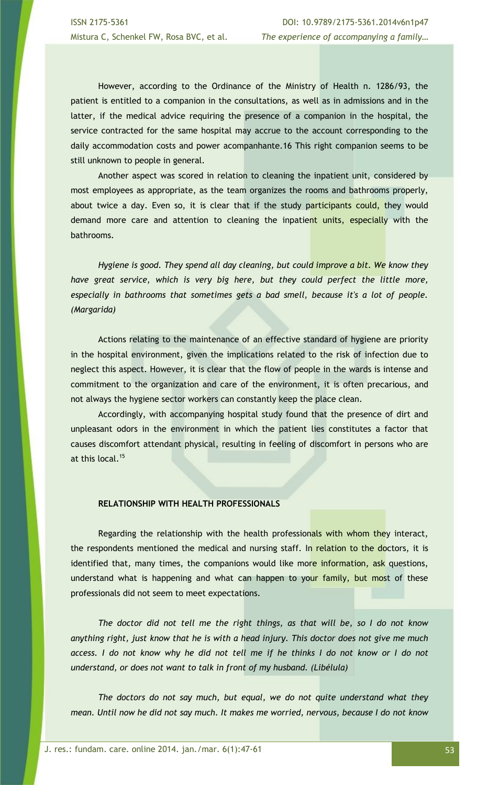However, according to the Ordinance of the Ministry of Health n. 1286/93, the patient is entitled to a companion in the consultations, as well as in admissions and in the latter, if the medical advice requiring the presence of a companion in the hospital, the service contracted for the same hospital may accrue to the account corresponding to the daily accommodation costs and power acompanhante.16 This right companion seems to be still unknown to people in general.

Another aspect was scored in relation to cleaning the inpatient unit, considered by most employees as appropriate, as the team organizes the rooms and bathrooms properly, about twice a day. Even so, it is clear that if the study participants could, they would demand more care and attention to cleaning the inpatient units, especially with the bathrooms.

*Hygiene is good. They spend all day cleaning, but could improve a bit. We know they have great service, which is very big here, but they could perfect the little more, especially in bathrooms that sometimes gets a bad smell, because it's a lot of people. (Margarida)*

Actions relating to the maintenance of an effective standard of hygiene are priority in the hospital environment, given the implications related to the risk of infection due to neglect this aspect. However, it is clear that the flow of people in the wards is intense and commitment to the organization and care of the environment, it is often precarious, and not always the hygiene sector workers can constantly keep the place clean.

Accordingly, with accompanying hospital study found that the presence of dirt and unpleasant odors in the environment in which the patient lies constitutes a factor that causes discomfort attendant physical, resulting in feeling of discomfort in persons who are at this local.<sup>15</sup>

## **RELATIONSHIP WITH HEALTH PROFESSIONALS**

Regarding the relationship with the health professionals with whom they interact, the respondents mentioned the medical and nursing staff. In relation to the doctors, it is identified that, many times, the companions would like more information, ask questions, understand what is happening and what can happen to your family, but most of these professionals did not seem to meet expectations.

*The doctor did not tell me the right things, as that will be, so I do not know anything right, just know that he is with a head injury. This doctor does not give me much*  access. I do not know why he did not tell me if he thinks I do not know or I do not *understand, or does not want to talk in front of my husband. (Libélula)*

*The doctors do not say much, but equal, we do not quite understand what they mean. Until now he did not say much. It makes me worried, nervous, because I do not know*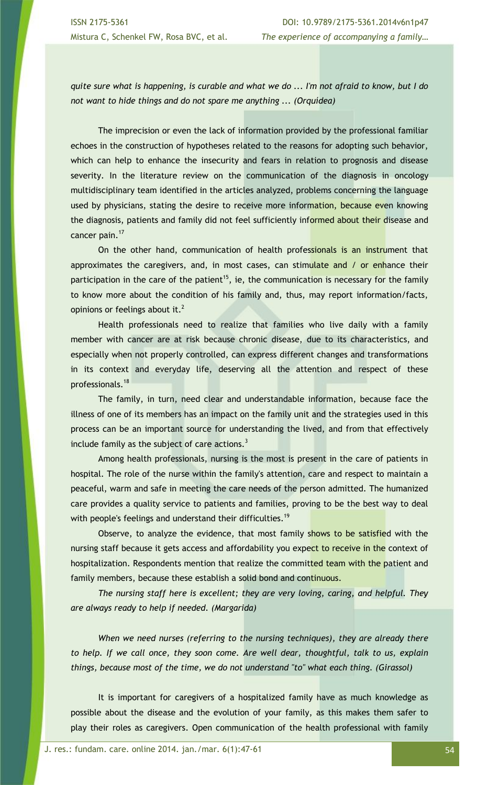*quite sure what is happening, is curable and what we do ... I'm not afraid to know, but I do not want to hide things and do not spare me anything ... (Orquídea)*

The imprecision or even the lack of information provided by the professional familiar echoes in the construction of hypotheses related to the reasons for adopting such behavior, which can help to enhance the insecurity and fears in relation to prognosis and disease severity. In the literature review on the communication of the diagnosis in oncology multidisciplinary team identified in the articles analyzed, problems concerning the language used by physicians, stating the desire to receive more information, because even knowing the diagnosis, patients and family did not feel sufficiently informed about their disease and cancer pain.<sup>17</sup>

On the other hand, communication of health professionals is an instrument that approximates the caregivers, and, in most cases, can stimulate and / or enhance their participation in the care of the patient<sup>15</sup>, ie, the communication is necessary for the family to know more about the condition of his family and, thus, may report information/facts, opinions or feelings about it.<sup>2</sup>

Health professionals need to realize that families who live daily with a family member with cancer are at risk because chronic disease, due to its characteristics, and especially when not properly controlled, can express different changes and transformations in its context and everyday life, deserving all the attention and respect of these professionals.<sup>18</sup>

The family, in turn, need clear and understandable information, because face the illness of one of its members has an impact on the family unit and the strategies used in this process can be an important source for understanding the lived, and from that effectively include family as the subject of care actions. $3$ 

Among health professionals, nursing is the most is present in the care of patients in hospital. The role of the nurse within the family's attention, care and respect to maintain a peaceful, warm and safe in meeting the care needs of the person admitted. The humanized care provides a quality service to patients and families, proving to be the best way to deal with people's feelings and understand their difficulties.<sup>19</sup>

Observe, to analyze the evidence, that most family shows to be satisfied with the nursing staff because it gets access and affordability you expect to receive in the context of hospitalization. Respondents mention that realize the committed team with the patient and family members, because these establish a solid bond and continuous.

*The nursing staff here is excellent; they are very loving, caring, and helpful. They are always ready to help if needed. (Margarida)*

*When we need nurses (referring to the nursing techniques), they are already there to help. If we call once, they soon come. Are well dear, thoughtful, talk to us, explain things, because most of the time, we do not understand "to" what each thing. (Girassol)*

It is important for caregivers of a hospitalized family have as much knowledge as possible about the disease and the evolution of your family, as this makes them safer to play their roles as caregivers. Open communication of the health professional with family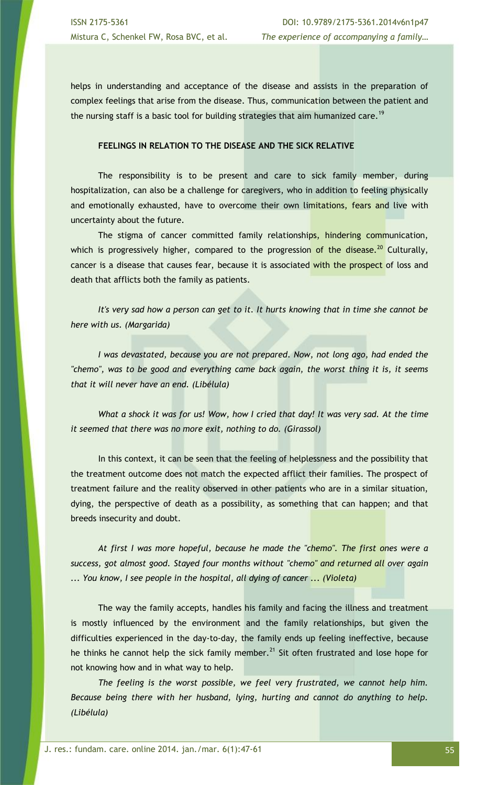helps in understanding and acceptance of the disease and assists in the preparation of complex feelings that arise from the disease. Thus, communication between the patient and the nursing staff is a basic tool for building strategies that aim humanized care.<sup>19</sup>

### **FEELINGS IN RELATION TO THE DISEASE AND THE SICK RELATIVE**

The responsibility is to be present and care to sick family member, during hospitalization, can also be a challenge for caregivers, who in addition to feeling physically and emotionally exhausted, have to overcome their own limitations, fears and live with uncertainty about the future.

The stigma of cancer committed family relationships, hindering communication, which is progressively higher, compared to the progression of the disease.<sup>20</sup> Culturally, cancer is a disease that causes fear, because it is associated with the prospect of loss and death that afflicts both the family as patients.

*It's very sad how a person can get to it. It hurts knowing that in time she cannot be here with us. (Margarida)*

*I was devastated, because you are not prepared. Now, not long ago, had ended the "chemo", was to be good and everything came back again, the worst thing it is, it seems that it will never have an end. (Libélula)*

*What a shock it was for us! Wow, how I cried that day! It was very sad. At the time it seemed that there was no more exit, nothing to do. (Girassol)*

In this context, it can be seen that the feeling of helplessness and the possibility that the treatment outcome does not match the expected afflict their families. The prospect of treatment failure and the reality observed in other patients who are in a similar situation, dying, the perspective of death as a possibility, as something that can happen; and that breeds insecurity and doubt.

*At first I was more hopeful, because he made the "chemo". The first ones were a success, got almost good. Stayed four months without "chemo" and returned all over again ... You know, I see people in the hospital, all dying of cancer ... (Violeta)*

The way the family accepts, handles his family and facing the illness and treatment is mostly influenced by the environment and the family relationships, but given the difficulties experienced in the day-to-day, the family ends up feeling ineffective, because he thinks he cannot help the sick family member.<sup>21</sup> Sit often frustrated and lose hope for not knowing how and in what way to help.

*The feeling is the worst possible, we feel very frustrated, we cannot help him. Because being there with her husband, lying, hurting and cannot do anything to help. (Libélula)*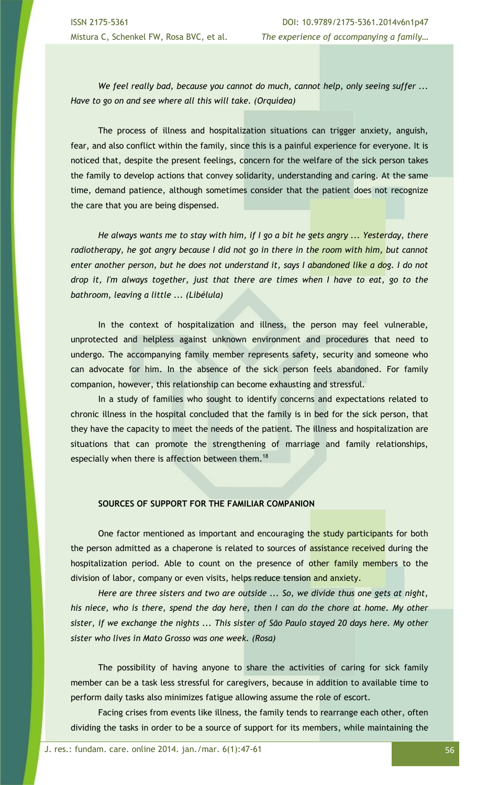*We feel really bad, because you cannot do much, cannot help, only seeing suffer ... Have to go on and see where all this will take. (Orquídea)*

The process of illness and hospitalization situations can trigger anxiety, anguish, fear, and also conflict within the family, since this is a painful experience for everyone. It is noticed that, despite the present feelings, concern for the welfare of the sick person takes the family to develop actions that convey solidarity, understanding and caring. At the same time, demand patience, although sometimes consider that the patient does not recognize the care that you are being dispensed.

*He always wants me to stay with him, if I go a bit he gets angry ... Yesterday, there radiotherapy, he got angry because I did not go in there in the room with him, but cannot enter another person, but he does not understand it, says I abandoned like a dog. I do not drop it, I'm always together, just that there are times when I have to eat, go to the bathroom, leaving a little ... (Libélula)*

In the context of hospitalization and illness, the person may feel vulnerable, unprotected and helpless against unknown environment and procedures that need to undergo. The accompanying family member represents safety, security and someone who can advocate for him. In the absence of the sick person feels abandoned. For family companion, however, this relationship can become exhausting and stressful.

In a study of families who sought to identify concerns and expectations related to chronic illness in the hospital concluded that the family is in bed for the sick person, that they have the capacity to meet the needs of the patient. The illness and hospitalization are situations that can promote the strengthening of marriage and family relationships, especially when there is affection between them.<sup>18</sup>

## **SOURCES OF SUPPORT FOR THE FAMILIAR COMPANION**

One factor mentioned as important and encouraging the study participants for both the person admitted as a chaperone is related to sources of assistance received during the hospitalization period. Able to count on the presence of other family members to the division of labor, company or even visits, helps reduce tension and anxiety.

*Here are three sisters and two are outside ... So, we divide thus one gets at night, his niece, who is there, spend the day here, then I can do the chore at home. My other sister, if we exchange the nights ... This sister of São Paulo stayed 20 days here. My other sister who lives in Mato Grosso was one week. (Rosa)*

The possibility of having anyone to share the activities of caring for sick family member can be a task less stressful for caregivers, because in addition to available time to perform daily tasks also minimizes fatigue allowing assume the role of escort.

Facing crises from events like illness, the family tends to rearrange each other, often dividing the tasks in order to be a source of support for its members, while maintaining the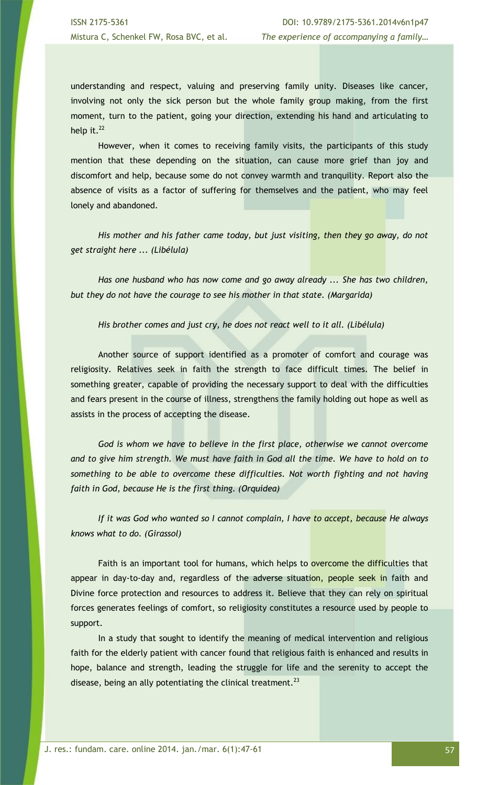understanding and respect, valuing and preserving family unity. Diseases like cancer, involving not only the sick person but the whole family group making, from the first moment, turn to the patient, going your direction, extending his hand and articulating to help it. $^{22}$ 

However, when it comes to receiving family visits, the participants of this study mention that these depending on the situation, can cause more grief than joy and discomfort and help, because some do not convey warmth and tranquility. Report also the absence of visits as a factor of suffering for themselves and the patient, who may feel lonely and abandoned.

*His mother and his father came today, but just visiting, then they go away, do not get straight here ... (Libélula)*

*Has one husband who has now come and go away already ... She has two children, but they do not have the courage to see his mother in that state. (Margarida)*

*His brother comes and just cry, he does not react well to it all. (Libélula)*

Another source of support identified as a promoter of comfort and courage was religiosity. Relatives seek in faith the strength to face difficult times. The belief in something greater, capable of providing the necessary support to deal with the difficulties and fears present in the course of illness, strengthens the family holding out hope as well as assists in the process of accepting the disease.

God is whom we have to believe in the first place, otherwise we cannot overcome *and to give him strength. We must have faith in God all the time. We have to hold on to something to be able to overcome these difficulties. Not worth fighting and not having faith in God, because He is the first thing. (Orquídea)*

*If it was God who wanted so I cannot complain, I have to accept, because He always knows what to do. (Girassol)*

Faith is an important tool for humans, which helps to overcome the difficulties that appear in day-to-day and, regardless of the adverse situation, people seek in faith and Divine force protection and resources to address it. Believe that they can rely on spiritual forces generates feelings of comfort, so religiosity constitutes a resource used by people to support.

In a study that sought to identify the meaning of medical intervention and religious faith for the elderly patient with cancer found that religious faith is enhanced and results in hope, balance and strength, leading the struggle for life and the serenity to accept the disease, being an ally potentiating the clinical treatment. $^{23}$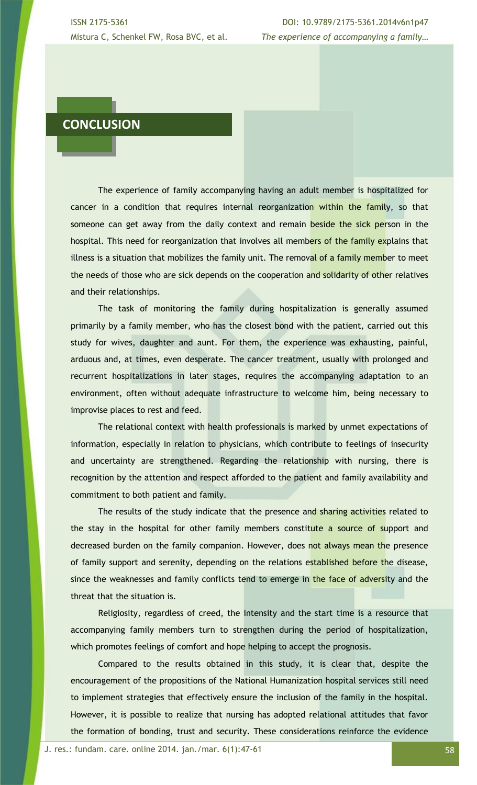ISSN 2175-5361 DOI: 10.9789/2175-5361.2014v6n1p47 Mistura C, Schenkel FW, Rosa BVC, et al. *The experience of accompanying a family…*

# **CONCLUSION**

The experience of family accompanying having an adult member is hospitalized for cancer in a condition that requires internal reorganization within the family, so that someone can get away from the daily context and remain beside the sick person in the hospital. This need for reorganization that involves all members of the family explains that illness is a situation that mobilizes the family unit. The removal of a family member to meet the needs of those who are sick depends on the cooperation and solidarity of other relatives and their relationships.

The task of monitoring the family during hospitalization is generally assumed primarily by a family member, who has the closest bond with the patient, carried out this study for wives, daughter and aunt. For them, the experience was exhausting, painful, arduous and, at times, even desperate. The cancer treatment, usually with prolonged and recurrent hospitalizations in later stages, requires the accompanying adaptation to an environment, often without adequate infrastructure to welcome him, being necessary to improvise places to rest and feed.

The relational context with health professionals is marked by unmet expectations of information, especially in relation to physicians, which contribute to feelings of insecurity and uncertainty are strengthened. Regarding the relationship with nursing, there is recognition by the attention and respect afforded to the patient and family availability and commitment to both patient and family.

The results of the study indicate that the presence and sharing activities related to the stay in the hospital for other family members constitute a source of support and decreased burden on the family companion. However, does not always mean the presence of family support and serenity, depending on the relations established before the disease, since the weaknesses and family conflicts tend to emerge in the face of adversity and the threat that the situation is.

Religiosity, regardless of creed, the intensity and the start time is a resource that accompanying family members turn to strengthen during the period of hospitalization, which promotes feelings of comfort and hope helping to accept the prognosis.

Compared to the results obtained in this study, it is clear that, despite the encouragement of the propositions of the National Humanization hospital services still need to implement strategies that effectively ensure the inclusion of the family in the hospital. However, it is possible to realize that nursing has adopted relational attitudes that favor the formation of bonding, trust and security. These considerations reinforce the evidence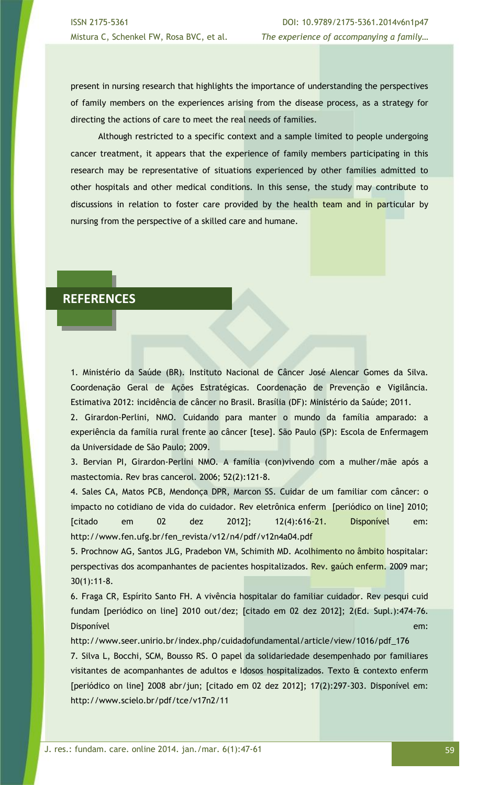present in nursing research that highlights the importance of understanding the perspectives of family members on the experiences arising from the disease process, as a strategy for directing the actions of care to meet the real needs of families.

Although restricted to a specific context and a sample limited to people undergoing cancer treatment, it appears that the experience of family members participating in this research may be representative of situations experienced by other families admitted to other hospitals and other medical conditions. In this sense, the study may contribute to discussions in relation to foster care provided by the health team and in particular by nursing from the perspective of a skilled care and humane.

## **REFERENCES**

1. Ministério da Saúde (BR). Instituto Nacional de Câncer José Alencar Gomes da Silva. Coordenação Geral de Ações Estratégicas. Coordenação de Prevenção e Vigilância. Estimativa 2012: incidência de câncer no Brasil. Brasília (DF): Ministério da Saúde; 2011.

2. Girardon-Perlini, NMO. Cuidando para manter o mundo da família amparado: a experiência da família rural frente ao câncer [tese]. São Paulo (SP): Escola de Enfermagem da Universidade de São Paulo; 2009.

3. Bervian PI, Girardon-Perlini NMO. A família (con)vivendo com a mulher/mãe após a mastectomia. Rev bras cancerol. 2006; 52(2):121-8.

4. Sales CA, Matos PCB, Mendonça DPR, Marcon SS. Cuidar de um familiar com câncer: o impacto no cotidiano de vida do cuidador. Rev eletrônica enferm [periódico on line] 2010; [citado em 02 dez 2012]; 12(4):616-21. Disponível em: http://www.fen.ufg.br/fen\_revista/v12/n4/pdf/v12n4a04.pdf

5. Prochnow AG, Santos JLG, Pradebon VM, Schimith MD. Acolhimento no âmbito hospitalar: perspectivas dos acompanhantes de pacientes hospitalizados. Rev. gaúch enferm. 2009 mar; 30(1):11-8.

6. Fraga CR, Espírito Santo FH. A vivência hospitalar do familiar cuidador. Rev pesqui cuid fundam [periódico on line] 2010 out/dez; [citado em 02 dez 2012]; 2(Ed. Supl.):474-76. Disponível em:

http://www.seer.unirio.br/index.php/cuidadofundamental/article/view/1016/pdf\_176

7. Silva L, Bocchi, SCM, Bousso RS. O papel da solidariedade desempenhado por familiares visitantes de acompanhantes de adultos e Idosos hospitalizados. Texto & contexto enferm [periódico on line] 2008 abr/jun; [citado em 02 dez 2012]; 17(2):297-303. Disponível em: http://www.scielo.br/pdf/tce/v17n2/11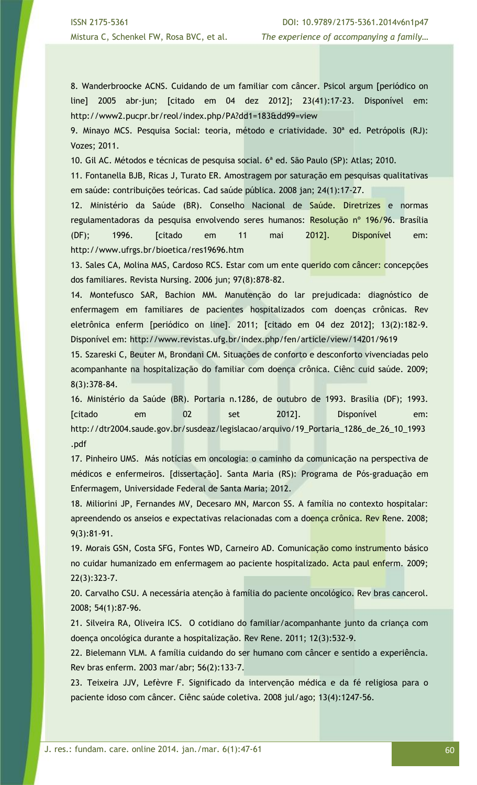8. Wanderbroocke ACNS. Cuidando de um familiar com câncer. Psicol argum [periódico on line] 2005 abr-jun; [citado em 04 dez 2012]; 23(41):17-23. Disponível em: http://www2.pucpr.br/reol/index.php/PA?dd1=183&dd99=view

9. Minayo MCS. Pesquisa Social: teoria, método e criatividade. 30ª ed. Petrópolis (RJ): Vozes; 2011.

10. Gil AC. Métodos e técnicas de pesquisa social. 6ª ed. São Paulo (SP): Atlas; 2010.

11. Fontanella BJB, Ricas J, Turato ER. Amostragem por saturação em pesquisas qualitativas em saúde: contribuições teóricas. Cad saúde pública. 2008 jan; 24(1):17-27.

12. Ministério da Saúde (BR). Conselho Nacional de Saúde. Diretrizes e normas regulamentadoras da pesquisa envolvendo seres humanos: Resolução nº 196/96. Brasília (DF); 1996. [citado em 11 mai 2012]. Disponível em: http://www.ufrgs.br/bioetica/res19696.htm

13. Sales CA, Molina MAS, Cardoso RCS. Estar com um ente querido com câncer: concepções dos familiares. Revista Nursing. 2006 jun; 97(8):878-82.

14. Montefusco SAR, Bachion MM. Manutenção do lar prejudicada: diagnóstico de enfermagem em familiares de pacientes hospitalizados com doenças crônicas. Rev eletrônica enferm [periódico on line]. 2011; [citado em 04 dez 2012]; 13(2):182-9. Disponível em: http://www.revistas.ufg.br/index.php/fen/article/view/14201/9619

15. Szareski C, Beuter M, Brondani CM. Situações de conforto e desconforto vivenciadas pelo acompanhante na hospitalização do familiar com doença crônica. Ciênc cuid saúde. 2009; 8(3):378-84.

16. Ministério da Saúde (BR). Portaria n.1286, de outubro de 1993. Brasília (DF); 1993. [citado em 02 set 2012]. Disponível em: http://dtr2004.saude.gov.br/susdeaz/legislacao/arquivo/19\_Portaria\_1286\_de\_26\_10\_1993 .pdf

17. Pinheiro UMS. Más notícias em oncologia: o caminho da comunicação na perspectiva de médicos e enfermeiros. [dissertação]. Santa Maria (RS): Programa de Pós-graduação em Enfermagem, Universidade Federal de Santa Maria; 2012.

18. Miliorini JP, Fernandes MV, Decesaro MN, Marcon SS. A família no contexto hospitalar: apreendendo os anseios e expectativas relacionadas com a doença crônica. Rev Rene. 2008; 9(3):81-91.

19. Morais GSN, Costa SFG, Fontes WD, Carneiro AD. Comunicação como instrumento básico no cuidar humanizado em enfermagem ao paciente hospitalizado. Acta paul enferm. 2009; 22(3):323-7.

20. Carvalho CSU. A necessária atenção à família do paciente oncológico. Rev bras cancerol. 2008; 54(1):87-96.

21. Silveira RA, Oliveira ICS. O cotidiano do familiar/acompanhante junto da criança com doença oncológica durante a hospitalização. Rev Rene. 2011; 12(3):532-9.

22. Bielemann VLM. A família cuidando do ser humano com câncer e sentido a experiência. Rev bras enferm. 2003 mar/abr; 56(2):133-7.

23. Teixeira JJV, Lefèvre F. Significado da intervenção médica e da fé religiosa para o paciente idoso com câncer. Ciênc saúde coletiva. 2008 jul/ago; 13(4):1247-56.